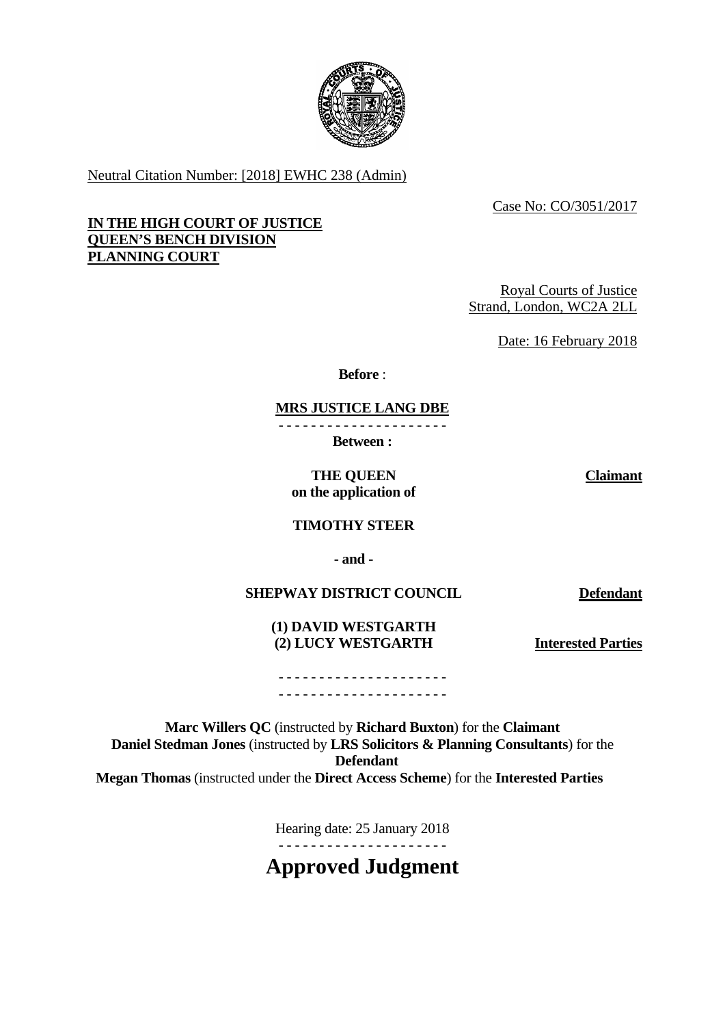

Neutral Citation Number: [2018] EWHC 238 (Admin)

Case No: CO/3051/2017

# **IN THE HIGH COURT OF JUSTICE QUEEN'S BENCH DIVISION PLANNING COURT**

Royal Courts of Justice Strand, London, WC2A 2LL

Date: 16 February 2018

**Before** :

**MRS JUSTICE LANG DBE**

- - - - - - - - - - - - - - - - - - - - -

**Between :** 

 **THE QUEEN on the application of**  **Claimant**

**TIMOTHY STEER** 

 **- and -** 

**SHEPWAY DISTRICT COUNCIL Defendant** 

 **(1) DAVID WESTGARTH (2) LUCY WESTGARTH Interested Parties**

- - - - - - - - - - - - - - - - - - - - - - - - - - - - - - - - - - - - - - - - - -

**Marc Willers QC** (instructed by **Richard Buxton**) for the **Claimant Daniel Stedman Jones** (instructed by **LRS Solicitors & Planning Consultants**) for the **Defendant Megan Thomas** (instructed under the **Direct Access Scheme**) for the **Interested Parties** 

> Hearing date: 25 January 2018 - - - - - - - - - - - - - - - - - - - - -

**Approved Judgment**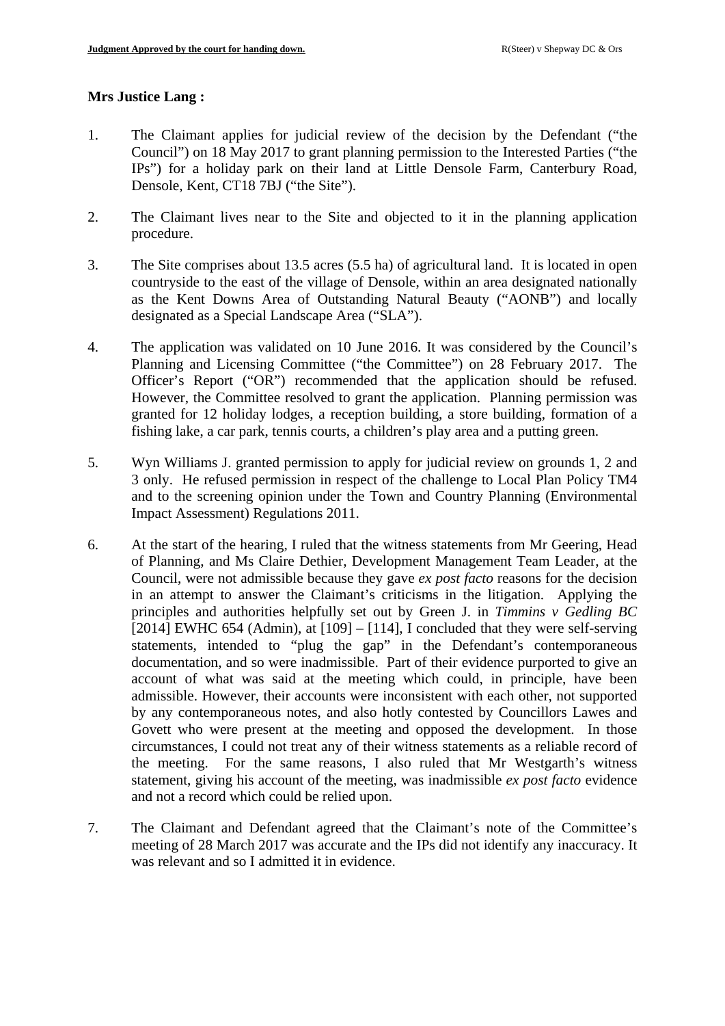# **Mrs Justice Lang :**

- 1. The Claimant applies for judicial review of the decision by the Defendant ("the Council") on 18 May 2017 to grant planning permission to the Interested Parties ("the IPs") for a holiday park on their land at Little Densole Farm, Canterbury Road, Densole, Kent, CT18 7BJ ("the Site").
- 2. The Claimant lives near to the Site and objected to it in the planning application procedure.
- 3. The Site comprises about 13.5 acres (5.5 ha) of agricultural land. It is located in open countryside to the east of the village of Densole, within an area designated nationally as the Kent Downs Area of Outstanding Natural Beauty ("AONB") and locally designated as a Special Landscape Area ("SLA").
- 4. The application was validated on 10 June 2016. It was considered by the Council's Planning and Licensing Committee ("the Committee") on 28 February 2017. The Officer's Report ("OR") recommended that the application should be refused. However, the Committee resolved to grant the application. Planning permission was granted for 12 holiday lodges, a reception building, a store building, formation of a fishing lake, a car park, tennis courts, a children's play area and a putting green.
- 5. Wyn Williams J. granted permission to apply for judicial review on grounds 1, 2 and 3 only. He refused permission in respect of the challenge to Local Plan Policy TM4 and to the screening opinion under the Town and Country Planning (Environmental Impact Assessment) Regulations 2011.
- 6. At the start of the hearing, I ruled that the witness statements from Mr Geering, Head of Planning, and Ms Claire Dethier, Development Management Team Leader, at the Council, were not admissible because they gave *ex post facto* reasons for the decision in an attempt to answer the Claimant's criticisms in the litigation. Applying the principles and authorities helpfully set out by Green J. in *Timmins v Gedling BC*  [2014] EWHC 654 (Admin), at  $[109] - [114]$ , I concluded that they were self-serving statements, intended to "plug the gap" in the Defendant's contemporaneous documentation, and so were inadmissible. Part of their evidence purported to give an account of what was said at the meeting which could, in principle, have been admissible. However, their accounts were inconsistent with each other, not supported by any contemporaneous notes, and also hotly contested by Councillors Lawes and Govett who were present at the meeting and opposed the development. In those circumstances, I could not treat any of their witness statements as a reliable record of the meeting. For the same reasons, I also ruled that Mr Westgarth's witness statement, giving his account of the meeting, was inadmissible *ex post facto* evidence and not a record which could be relied upon.
- 7. The Claimant and Defendant agreed that the Claimant's note of the Committee's meeting of 28 March 2017 was accurate and the IPs did not identify any inaccuracy. It was relevant and so I admitted it in evidence.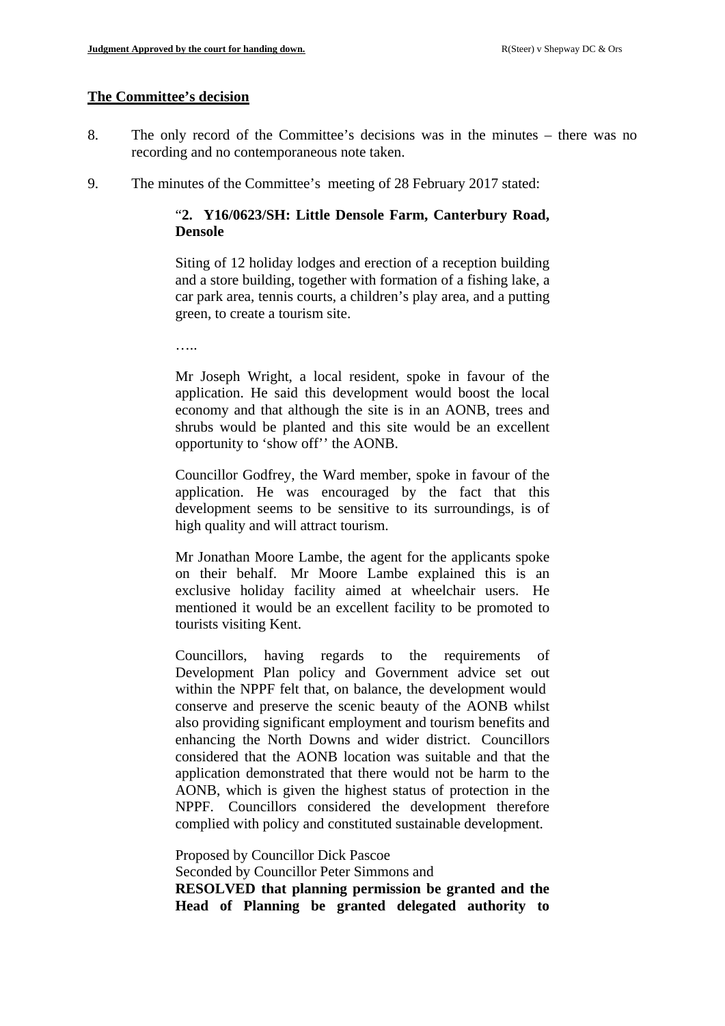### **The Committee's decision**

- 8. The only record of the Committee's decisions was in the minutes there was no recording and no contemporaneous note taken.
- 9. The minutes of the Committee's meeting of 28 February 2017 stated:

# "**2. Y16/0623/SH: Little Densole Farm, Canterbury Road, Densole**

Siting of 12 holiday lodges and erection of a reception building and a store building, together with formation of a fishing lake, a car park area, tennis courts, a children's play area, and a putting green, to create a tourism site.

…..

Mr Joseph Wright, a local resident, spoke in favour of the application. He said this development would boost the local economy and that although the site is in an AONB, trees and shrubs would be planted and this site would be an excellent opportunity to 'show off'' the AONB.

Councillor Godfrey, the Ward member, spoke in favour of the application. He was encouraged by the fact that this development seems to be sensitive to its surroundings, is of high quality and will attract tourism.

Mr Jonathan Moore Lambe, the agent for the applicants spoke on their behalf. Mr Moore Lambe explained this is an exclusive holiday facility aimed at wheelchair users. He mentioned it would be an excellent facility to be promoted to tourists visiting Kent.

Councillors, having regards to the requirements of Development Plan policy and Government advice set out within the NPPF felt that, on balance, the development would conserve and preserve the scenic beauty of the AONB whilst also providing significant employment and tourism benefits and enhancing the North Downs and wider district. Councillors considered that the AONB location was suitable and that the application demonstrated that there would not be harm to the AONB, which is given the highest status of protection in the NPPF. Councillors considered the development therefore complied with policy and constituted sustainable development.

Proposed by Councillor Dick Pascoe

Seconded by Councillor Peter Simmons and

**RESOLVED that planning permission be granted and the Head of Planning be granted delegated authority to**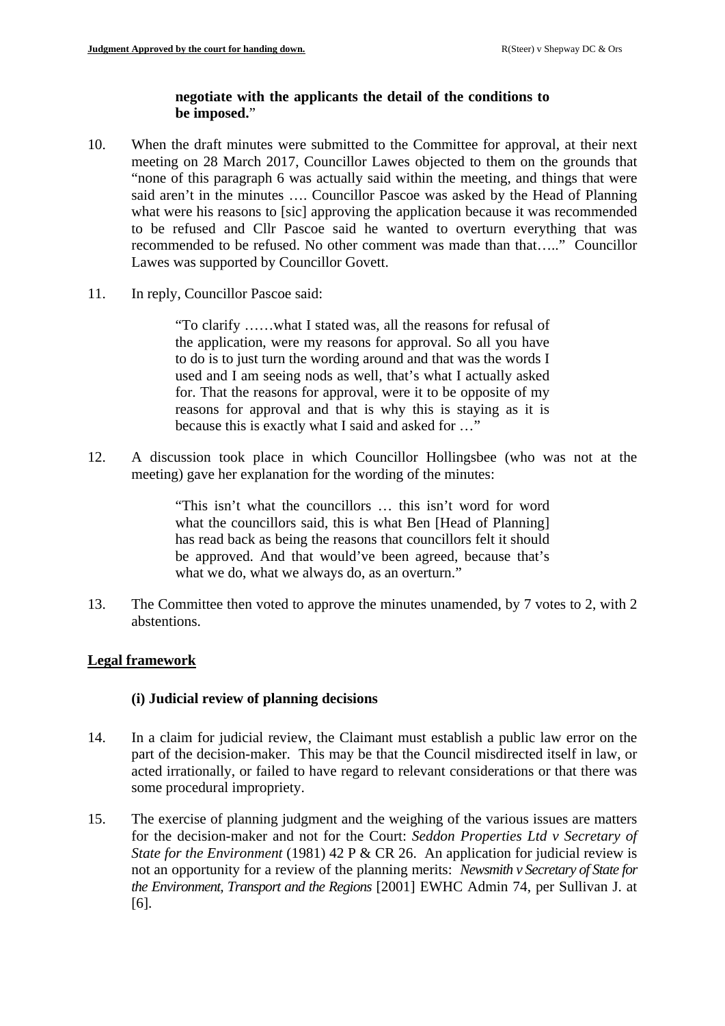# **negotiate with the applicants the detail of the conditions to be imposed.**"

- 10. When the draft minutes were submitted to the Committee for approval, at their next meeting on 28 March 2017, Councillor Lawes objected to them on the grounds that "none of this paragraph 6 was actually said within the meeting, and things that were said aren't in the minutes …. Councillor Pascoe was asked by the Head of Planning what were his reasons to [sic] approving the application because it was recommended to be refused and Cllr Pascoe said he wanted to overturn everything that was recommended to be refused. No other comment was made than that….." Councillor Lawes was supported by Councillor Govett.
- 11. In reply, Councillor Pascoe said:

"To clarify ……what I stated was, all the reasons for refusal of the application, were my reasons for approval. So all you have to do is to just turn the wording around and that was the words I used and I am seeing nods as well, that's what I actually asked for. That the reasons for approval, were it to be opposite of my reasons for approval and that is why this is staying as it is because this is exactly what I said and asked for …"

12. A discussion took place in which Councillor Hollingsbee (who was not at the meeting) gave her explanation for the wording of the minutes:

> "This isn't what the councillors … this isn't word for word what the councillors said, this is what Ben [Head of Planning] has read back as being the reasons that councillors felt it should be approved. And that would've been agreed, because that's what we do, what we always do, as an overturn."

13. The Committee then voted to approve the minutes unamended, by 7 votes to 2, with 2 abstentions.

# **Legal framework**

# **(i) Judicial review of planning decisions**

- 14. In a claim for judicial review, the Claimant must establish a public law error on the part of the decision-maker. This may be that the Council misdirected itself in law, or acted irrationally, or failed to have regard to relevant considerations or that there was some procedural impropriety.
- 15. The exercise of planning judgment and the weighing of the various issues are matters for the decision-maker and not for the Court: *Seddon Properties Ltd v Secretary of State for the Environment* (1981) 42 P & CR 26. An application for judicial review is not an opportunity for a review of the planning merits: *Newsmith v Secretary of State for the Environment, Transport and the Regions* [2001] EWHC Admin 74, per Sullivan J. at [6].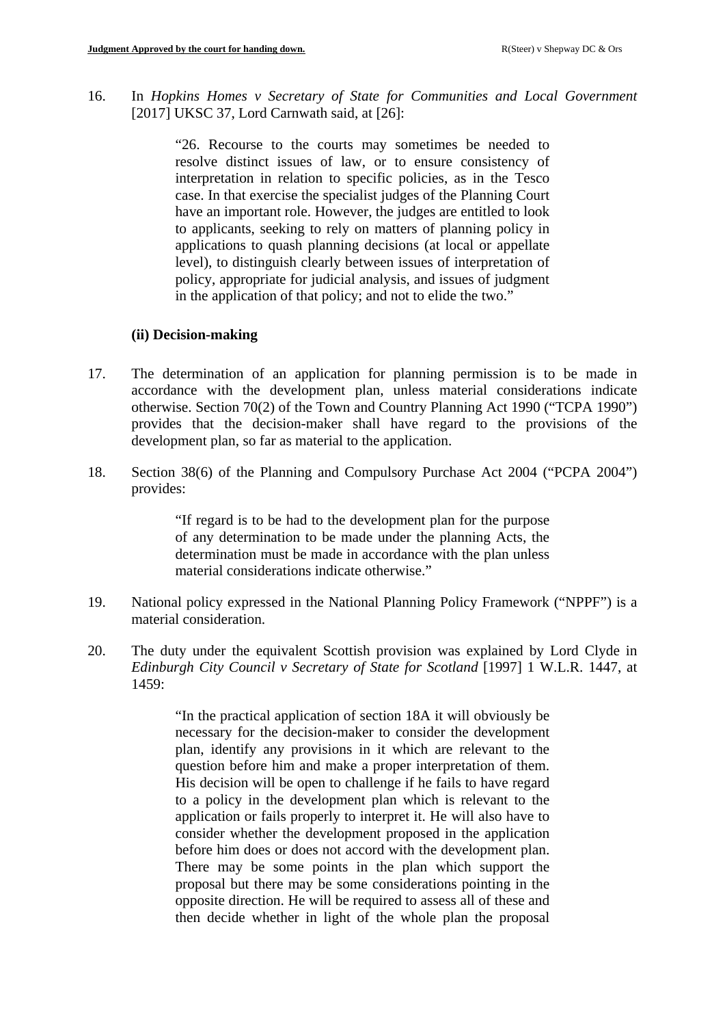16. In *Hopkins Homes v Secretary of State for Communities and Local Government* [2017] UKSC 37, Lord Carnwath said, at [26]:

> "26. Recourse to the courts may sometimes be needed to resolve distinct issues of law, or to ensure consistency of interpretation in relation to specific policies, as in the Tesco case. In that exercise the specialist judges of the Planning Court have an important role. However, the judges are entitled to look to applicants, seeking to rely on matters of planning policy in applications to quash planning decisions (at local or appellate level), to distinguish clearly between issues of interpretation of policy, appropriate for judicial analysis, and issues of judgment in the application of that policy; and not to elide the two."

#### **(ii) Decision-making**

- 17. The determination of an application for planning permission is to be made in accordance with the development plan, unless material considerations indicate otherwise. Section 70(2) of the Town and Country Planning Act 1990 ("TCPA 1990") provides that the decision-maker shall have regard to the provisions of the development plan, so far as material to the application.
- 18. Section 38(6) of the Planning and Compulsory Purchase Act 2004 ("PCPA 2004") provides:

"If regard is to be had to the development plan for the purpose of any determination to be made under the planning Acts, the determination must be made in accordance with the plan unless material considerations indicate otherwise."

- 19. National policy expressed in the National Planning Policy Framework ("NPPF") is a material consideration.
- 20. The duty under the equivalent Scottish provision was explained by Lord Clyde in *Edinburgh City Council v Secretary of State for Scotland* [1997] 1 W.L.R. 1447, at 1459:

"In the practical application of section 18A it will obviously be necessary for the decision-maker to consider the development plan, identify any provisions in it which are relevant to the question before him and make a proper interpretation of them. His decision will be open to challenge if he fails to have regard to a policy in the development plan which is relevant to the application or fails properly to interpret it. He will also have to consider whether the development proposed in the application before him does or does not accord with the development plan. There may be some points in the plan which support the proposal but there may be some considerations pointing in the opposite direction. He will be required to assess all of these and then decide whether in light of the whole plan the proposal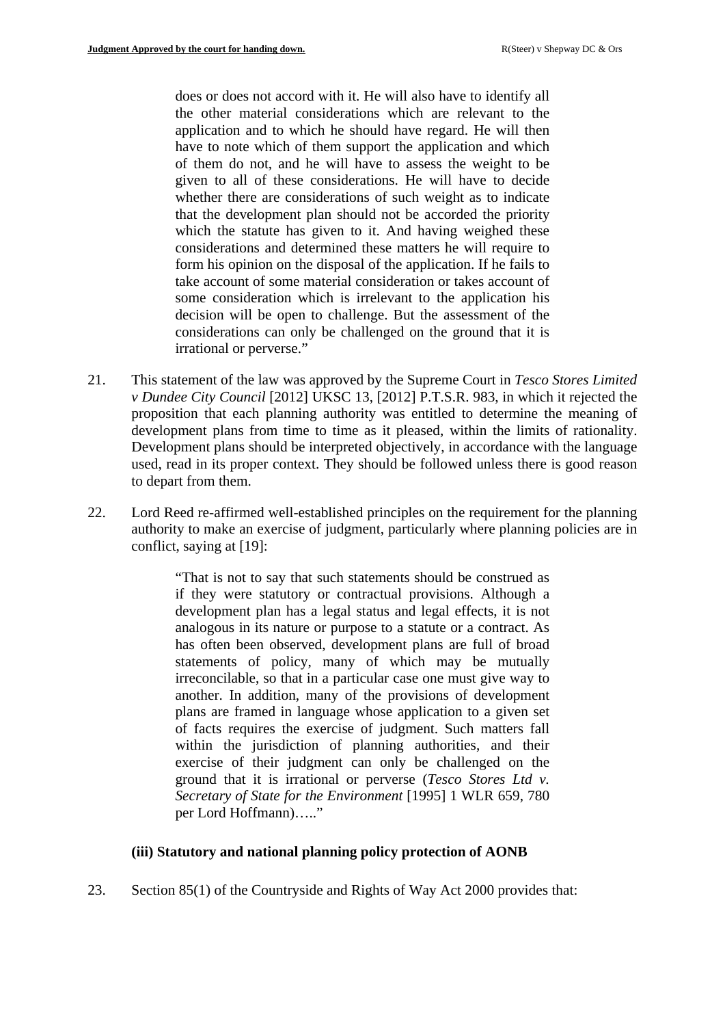does or does not accord with it. He will also have to identify all the other material considerations which are relevant to the application and to which he should have regard. He will then have to note which of them support the application and which of them do not, and he will have to assess the weight to be given to all of these considerations. He will have to decide whether there are considerations of such weight as to indicate that the development plan should not be accorded the priority which the statute has given to it. And having weighed these considerations and determined these matters he will require to form his opinion on the disposal of the application. If he fails to take account of some material consideration or takes account of some consideration which is irrelevant to the application his decision will be open to challenge. But the assessment of the considerations can only be challenged on the ground that it is irrational or perverse."

- 21. This statement of the law was approved by the Supreme Court in *Tesco Stores Limited v Dundee City Council* [2012] UKSC 13, [2012] P.T.S.R. 983, in which it rejected the proposition that each planning authority was entitled to determine the meaning of development plans from time to time as it pleased, within the limits of rationality. Development plans should be interpreted objectively, in accordance with the language used, read in its proper context. They should be followed unless there is good reason to depart from them.
- 22. Lord Reed re-affirmed well-established principles on the requirement for the planning authority to make an exercise of judgment, particularly where planning policies are in conflict, saying at [19]:

"That is not to say that such statements should be construed as if they were statutory or contractual provisions. Although a development plan has a legal status and legal effects, it is not analogous in its nature or purpose to a statute or a contract. As has often been observed, development plans are full of broad statements of policy, many of which may be mutually irreconcilable, so that in a particular case one must give way to another. In addition, many of the provisions of development plans are framed in language whose application to a given set of facts requires the exercise of judgment. Such matters fall within the jurisdiction of planning authorities, and their exercise of their judgment can only be challenged on the ground that it is irrational or perverse (*Tesco Stores Ltd v. Secretary of State for the Environment* [1995] 1 WLR 659, 780 per Lord Hoffmann)….."

### **(iii) Statutory and national planning policy protection of AONB**

23. Section 85(1) of the Countryside and Rights of Way Act 2000 provides that: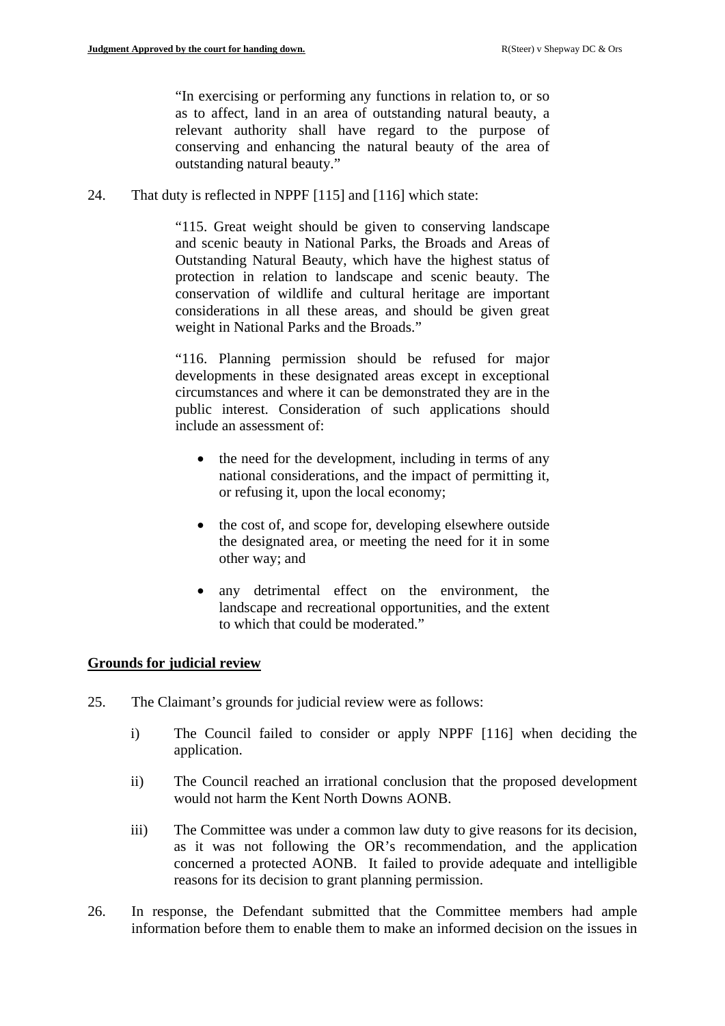"In exercising or performing any functions in relation to, or so as to affect, land in an area of outstanding natural beauty, a relevant authority shall have regard to the purpose of conserving and enhancing the natural beauty of the area of outstanding natural beauty."

24. That duty is reflected in NPPF [115] and [116] which state:

"115. Great weight should be given to conserving landscape and scenic beauty in National Parks, the Broads and Areas of Outstanding Natural Beauty, which have the highest status of protection in relation to landscape and scenic beauty. The conservation of wildlife and cultural heritage are important considerations in all these areas, and should be given great weight in National Parks and the Broads."

"116. Planning permission should be refused for major developments in these designated areas except in exceptional circumstances and where it can be demonstrated they are in the public interest. Consideration of such applications should include an assessment of:

- the need for the development, including in terms of any national considerations, and the impact of permitting it, or refusing it, upon the local economy;
- the cost of, and scope for, developing elsewhere outside the designated area, or meeting the need for it in some other way; and
- any detrimental effect on the environment, the landscape and recreational opportunities, and the extent to which that could be moderated."

# **Grounds for judicial review**

- 25. The Claimant's grounds for judicial review were as follows:
	- i) The Council failed to consider or apply NPPF [116] when deciding the application.
	- ii) The Council reached an irrational conclusion that the proposed development would not harm the Kent North Downs AONB.
	- iii) The Committee was under a common law duty to give reasons for its decision, as it was not following the OR's recommendation, and the application concerned a protected AONB. It failed to provide adequate and intelligible reasons for its decision to grant planning permission.
- 26. In response, the Defendant submitted that the Committee members had ample information before them to enable them to make an informed decision on the issues in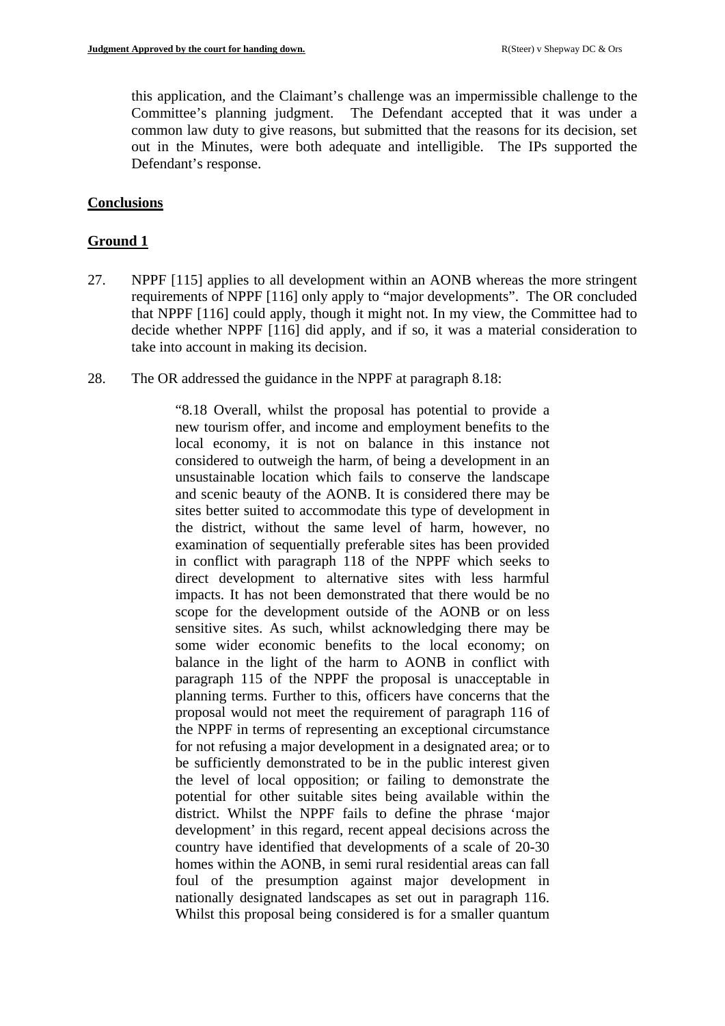this application, and the Claimant's challenge was an impermissible challenge to the Committee's planning judgment. The Defendant accepted that it was under a common law duty to give reasons, but submitted that the reasons for its decision, set out in the Minutes, were both adequate and intelligible. The IPs supported the Defendant's response.

# **Conclusions**

# **Ground 1**

- 27. NPPF [115] applies to all development within an AONB whereas the more stringent requirements of NPPF [116] only apply to "major developments". The OR concluded that NPPF [116] could apply, though it might not. In my view, the Committee had to decide whether NPPF [116] did apply, and if so, it was a material consideration to take into account in making its decision.
- 28. The OR addressed the guidance in the NPPF at paragraph 8.18:

"8.18 Overall, whilst the proposal has potential to provide a new tourism offer, and income and employment benefits to the local economy, it is not on balance in this instance not considered to outweigh the harm, of being a development in an unsustainable location which fails to conserve the landscape and scenic beauty of the AONB. It is considered there may be sites better suited to accommodate this type of development in the district, without the same level of harm, however, no examination of sequentially preferable sites has been provided in conflict with paragraph 118 of the NPPF which seeks to direct development to alternative sites with less harmful impacts. It has not been demonstrated that there would be no scope for the development outside of the AONB or on less sensitive sites. As such, whilst acknowledging there may be some wider economic benefits to the local economy; on balance in the light of the harm to AONB in conflict with paragraph 115 of the NPPF the proposal is unacceptable in planning terms. Further to this, officers have concerns that the proposal would not meet the requirement of paragraph 116 of the NPPF in terms of representing an exceptional circumstance for not refusing a major development in a designated area; or to be sufficiently demonstrated to be in the public interest given the level of local opposition; or failing to demonstrate the potential for other suitable sites being available within the district. Whilst the NPPF fails to define the phrase 'major development' in this regard, recent appeal decisions across the country have identified that developments of a scale of 20-30 homes within the AONB, in semi rural residential areas can fall foul of the presumption against major development in nationally designated landscapes as set out in paragraph 116. Whilst this proposal being considered is for a smaller quantum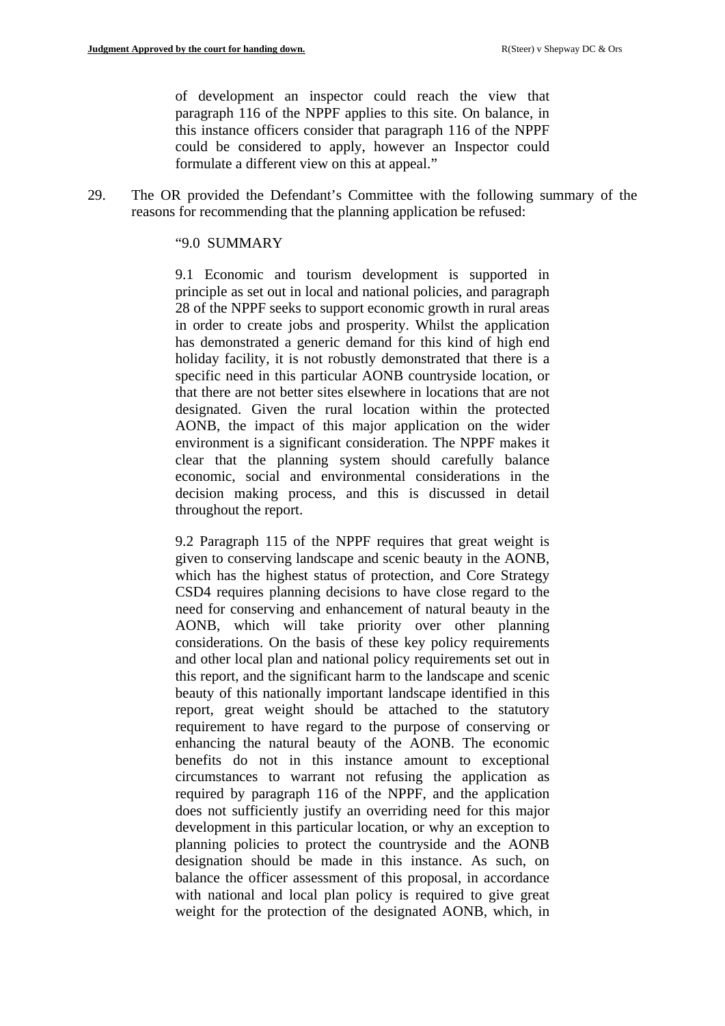of development an inspector could reach the view that paragraph 116 of the NPPF applies to this site. On balance, in this instance officers consider that paragraph 116 of the NPPF could be considered to apply, however an Inspector could formulate a different view on this at appeal."

29. The OR provided the Defendant's Committee with the following summary of the reasons for recommending that the planning application be refused:

#### "9.0 SUMMARY

9.1 Economic and tourism development is supported in principle as set out in local and national policies, and paragraph 28 of the NPPF seeks to support economic growth in rural areas in order to create jobs and prosperity. Whilst the application has demonstrated a generic demand for this kind of high end holiday facility, it is not robustly demonstrated that there is a specific need in this particular AONB countryside location, or that there are not better sites elsewhere in locations that are not designated. Given the rural location within the protected AONB, the impact of this major application on the wider environment is a significant consideration. The NPPF makes it clear that the planning system should carefully balance economic, social and environmental considerations in the decision making process, and this is discussed in detail throughout the report.

9.2 Paragraph 115 of the NPPF requires that great weight is given to conserving landscape and scenic beauty in the AONB, which has the highest status of protection, and Core Strategy CSD4 requires planning decisions to have close regard to the need for conserving and enhancement of natural beauty in the AONB, which will take priority over other planning considerations. On the basis of these key policy requirements and other local plan and national policy requirements set out in this report, and the significant harm to the landscape and scenic beauty of this nationally important landscape identified in this report, great weight should be attached to the statutory requirement to have regard to the purpose of conserving or enhancing the natural beauty of the AONB. The economic benefits do not in this instance amount to exceptional circumstances to warrant not refusing the application as required by paragraph 116 of the NPPF, and the application does not sufficiently justify an overriding need for this major development in this particular location, or why an exception to planning policies to protect the countryside and the AONB designation should be made in this instance. As such, on balance the officer assessment of this proposal, in accordance with national and local plan policy is required to give great weight for the protection of the designated AONB, which, in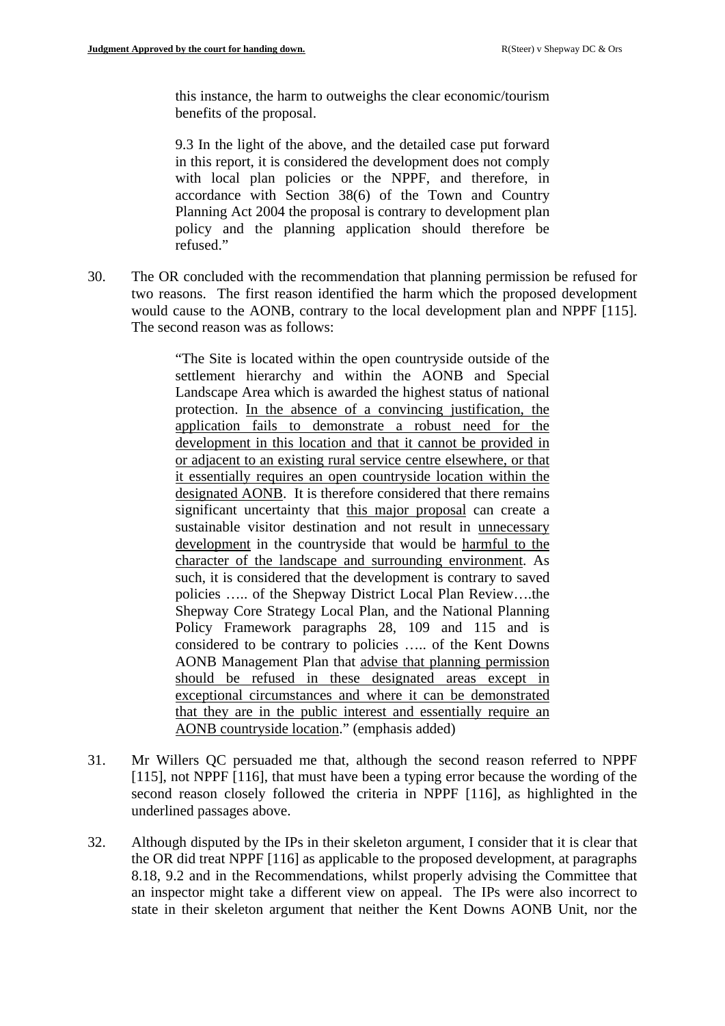this instance, the harm to outweighs the clear economic/tourism benefits of the proposal.

9.3 In the light of the above, and the detailed case put forward in this report, it is considered the development does not comply with local plan policies or the NPPF, and therefore, in accordance with Section 38(6) of the Town and Country Planning Act 2004 the proposal is contrary to development plan policy and the planning application should therefore be refused."

30. The OR concluded with the recommendation that planning permission be refused for two reasons. The first reason identified the harm which the proposed development would cause to the AONB, contrary to the local development plan and NPPF [115]. The second reason was as follows:

> "The Site is located within the open countryside outside of the settlement hierarchy and within the AONB and Special Landscape Area which is awarded the highest status of national protection. In the absence of a convincing justification, the application fails to demonstrate a robust need for the development in this location and that it cannot be provided in or adjacent to an existing rural service centre elsewhere, or that it essentially requires an open countryside location within the designated AONB. It is therefore considered that there remains significant uncertainty that this major proposal can create a sustainable visitor destination and not result in unnecessary development in the countryside that would be harmful to the character of the landscape and surrounding environment. As such, it is considered that the development is contrary to saved policies ….. of the Shepway District Local Plan Review….the Shepway Core Strategy Local Plan, and the National Planning Policy Framework paragraphs 28, 109 and 115 and is considered to be contrary to policies ….. of the Kent Downs AONB Management Plan that advise that planning permission should be refused in these designated areas except in exceptional circumstances and where it can be demonstrated that they are in the public interest and essentially require an AONB countryside location." (emphasis added)

- 31. Mr Willers QC persuaded me that, although the second reason referred to NPPF [115], not NPPF [116], that must have been a typing error because the wording of the second reason closely followed the criteria in NPPF [116], as highlighted in the underlined passages above.
- 32. Although disputed by the IPs in their skeleton argument, I consider that it is clear that the OR did treat NPPF [116] as applicable to the proposed development, at paragraphs 8.18, 9.2 and in the Recommendations, whilst properly advising the Committee that an inspector might take a different view on appeal. The IPs were also incorrect to state in their skeleton argument that neither the Kent Downs AONB Unit, nor the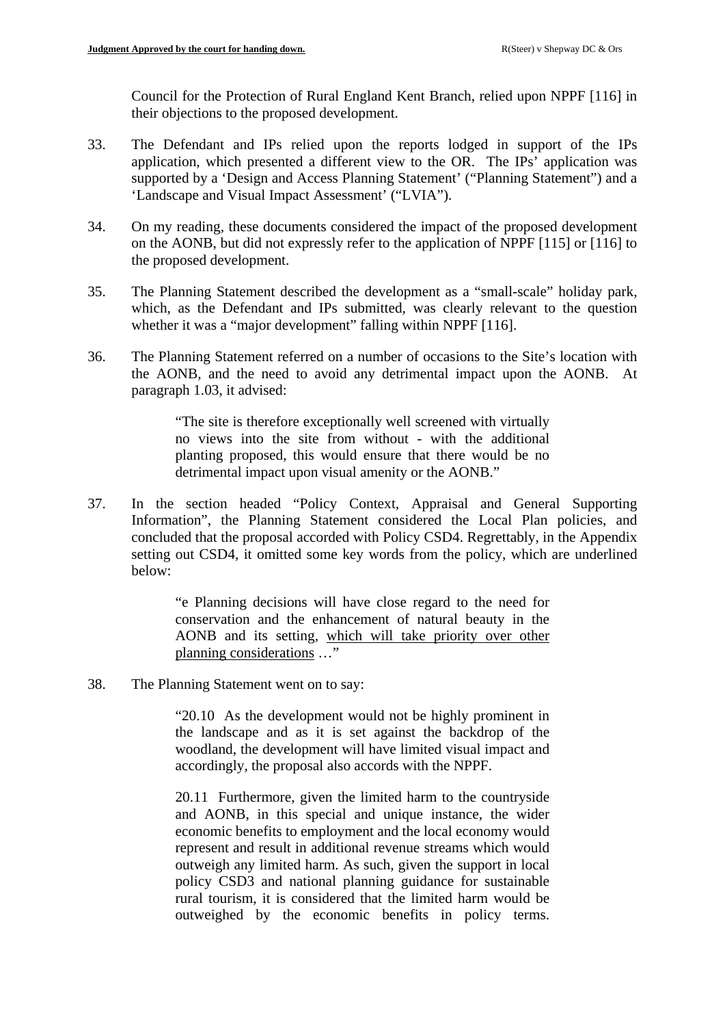Council for the Protection of Rural England Kent Branch, relied upon NPPF [116] in their objections to the proposed development.

- 33. The Defendant and IPs relied upon the reports lodged in support of the IPs application, which presented a different view to the OR. The IPs' application was supported by a 'Design and Access Planning Statement' ("Planning Statement") and a 'Landscape and Visual Impact Assessment' ("LVIA").
- 34. On my reading, these documents considered the impact of the proposed development on the AONB, but did not expressly refer to the application of NPPF [115] or [116] to the proposed development.
- 35. The Planning Statement described the development as a "small-scale" holiday park, which, as the Defendant and IPs submitted, was clearly relevant to the question whether it was a "major development" falling within NPPF [116].
- 36. The Planning Statement referred on a number of occasions to the Site's location with the AONB, and the need to avoid any detrimental impact upon the AONB. At paragraph 1.03, it advised:

"The site is therefore exceptionally well screened with virtually no views into the site from without - with the additional planting proposed, this would ensure that there would be no detrimental impact upon visual amenity or the AONB."

37. In the section headed "Policy Context, Appraisal and General Supporting Information", the Planning Statement considered the Local Plan policies, and concluded that the proposal accorded with Policy CSD4. Regrettably, in the Appendix setting out CSD4, it omitted some key words from the policy, which are underlined below:

> "e Planning decisions will have close regard to the need for conservation and the enhancement of natural beauty in the AONB and its setting, which will take priority over other planning considerations …"

38. The Planning Statement went on to say:

"20.10 As the development would not be highly prominent in the landscape and as it is set against the backdrop of the woodland, the development will have limited visual impact and accordingly, the proposal also accords with the NPPF.

20.11 Furthermore, given the limited harm to the countryside and AONB, in this special and unique instance, the wider economic benefits to employment and the local economy would represent and result in additional revenue streams which would outweigh any limited harm. As such, given the support in local policy CSD3 and national planning guidance for sustainable rural tourism, it is considered that the limited harm would be outweighed by the economic benefits in policy terms.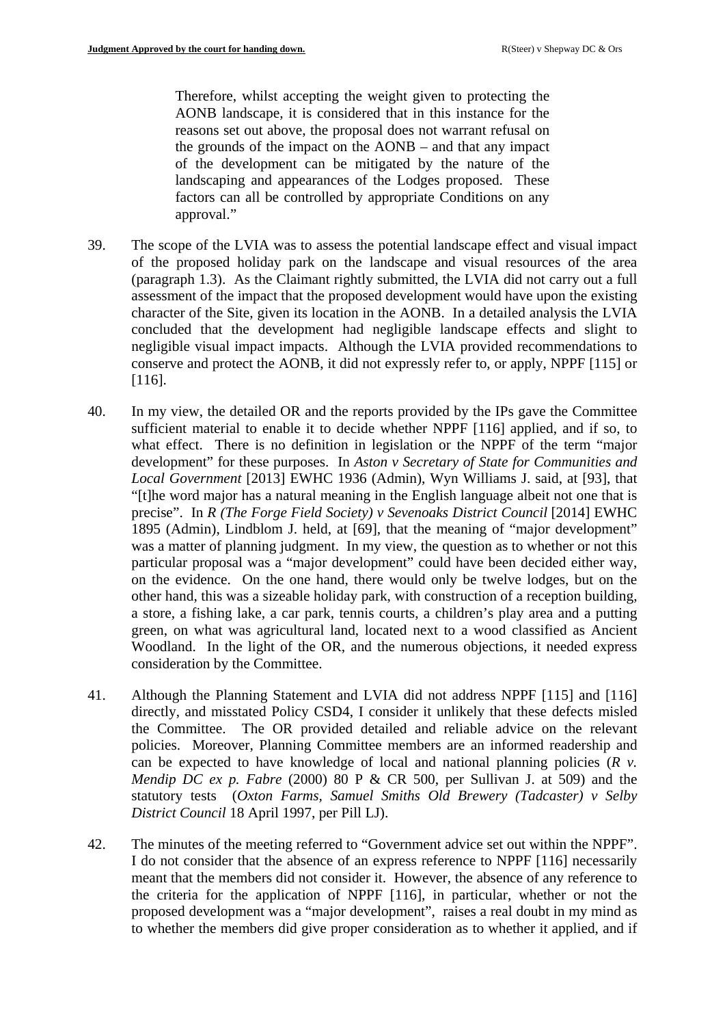Therefore, whilst accepting the weight given to protecting the AONB landscape, it is considered that in this instance for the reasons set out above, the proposal does not warrant refusal on the grounds of the impact on the AONB – and that any impact of the development can be mitigated by the nature of the landscaping and appearances of the Lodges proposed. These factors can all be controlled by appropriate Conditions on any approval."

- 39. The scope of the LVIA was to assess the potential landscape effect and visual impact of the proposed holiday park on the landscape and visual resources of the area (paragraph 1.3). As the Claimant rightly submitted, the LVIA did not carry out a full assessment of the impact that the proposed development would have upon the existing character of the Site, given its location in the AONB. In a detailed analysis the LVIA concluded that the development had negligible landscape effects and slight to negligible visual impact impacts. Although the LVIA provided recommendations to conserve and protect the AONB, it did not expressly refer to, or apply, NPPF [115] or [116].
- 40. In my view, the detailed OR and the reports provided by the IPs gave the Committee sufficient material to enable it to decide whether NPPF [116] applied, and if so, to what effect. There is no definition in legislation or the NPPF of the term "major development" for these purposes. In *Aston v Secretary of State for Communities and Local Government* [2013] EWHC 1936 (Admin), Wyn Williams J. said, at [93], that "[t]he word major has a natural meaning in the English language albeit not one that is precise". In *R (The Forge Field Society) v Sevenoaks District Council* [2014] EWHC 1895 (Admin), Lindblom J. held, at [69], that the meaning of "major development" was a matter of planning judgment. In my view, the question as to whether or not this particular proposal was a "major development" could have been decided either way, on the evidence. On the one hand, there would only be twelve lodges, but on the other hand, this was a sizeable holiday park, with construction of a reception building, a store, a fishing lake, a car park, tennis courts, a children's play area and a putting green, on what was agricultural land, located next to a wood classified as Ancient Woodland. In the light of the OR, and the numerous objections, it needed express consideration by the Committee.
- 41. Although the Planning Statement and LVIA did not address NPPF [115] and [116] directly, and misstated Policy CSD4, I consider it unlikely that these defects misled the Committee. The OR provided detailed and reliable advice on the relevant policies. Moreover, Planning Committee members are an informed readership and can be expected to have knowledge of local and national planning policies (*R v. Mendip DC ex p. Fabre* (2000) 80 P & CR 500, per Sullivan J. at 509) and the statutory tests (*Oxton Farms, Samuel Smiths Old Brewery (Tadcaster) v Selby District Council* 18 April 1997, per Pill LJ).
- 42. The minutes of the meeting referred to "Government advice set out within the NPPF". I do not consider that the absence of an express reference to NPPF [116] necessarily meant that the members did not consider it. However, the absence of any reference to the criteria for the application of NPPF [116], in particular, whether or not the proposed development was a "major development", raises a real doubt in my mind as to whether the members did give proper consideration as to whether it applied, and if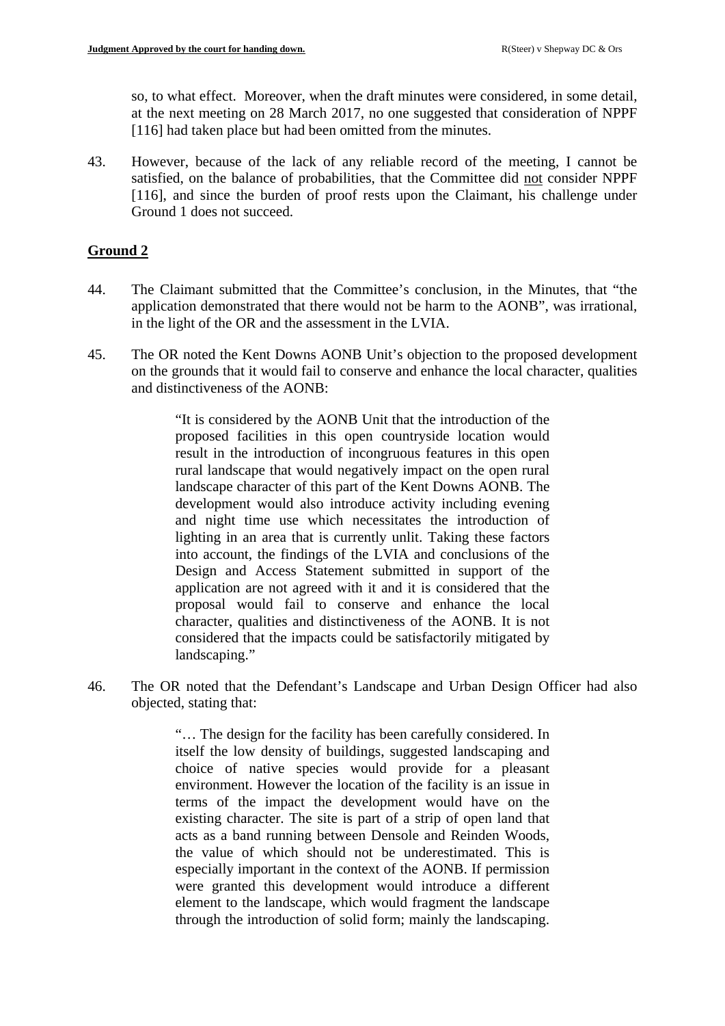so, to what effect. Moreover, when the draft minutes were considered, in some detail, at the next meeting on 28 March 2017, no one suggested that consideration of NPPF [116] had taken place but had been omitted from the minutes.

43. However, because of the lack of any reliable record of the meeting, I cannot be satisfied, on the balance of probabilities, that the Committee did not consider NPPF [116], and since the burden of proof rests upon the Claimant, his challenge under Ground 1 does not succeed.

## **Ground 2**

- 44. The Claimant submitted that the Committee's conclusion, in the Minutes, that "the application demonstrated that there would not be harm to the AONB", was irrational, in the light of the OR and the assessment in the LVIA.
- 45. The OR noted the Kent Downs AONB Unit's objection to the proposed development on the grounds that it would fail to conserve and enhance the local character, qualities and distinctiveness of the AONB:

"It is considered by the AONB Unit that the introduction of the proposed facilities in this open countryside location would result in the introduction of incongruous features in this open rural landscape that would negatively impact on the open rural landscape character of this part of the Kent Downs AONB. The development would also introduce activity including evening and night time use which necessitates the introduction of lighting in an area that is currently unlit. Taking these factors into account, the findings of the LVIA and conclusions of the Design and Access Statement submitted in support of the application are not agreed with it and it is considered that the proposal would fail to conserve and enhance the local character, qualities and distinctiveness of the AONB. It is not considered that the impacts could be satisfactorily mitigated by landscaping."

46. The OR noted that the Defendant's Landscape and Urban Design Officer had also objected, stating that:

> "… The design for the facility has been carefully considered. In itself the low density of buildings, suggested landscaping and choice of native species would provide for a pleasant environment. However the location of the facility is an issue in terms of the impact the development would have on the existing character. The site is part of a strip of open land that acts as a band running between Densole and Reinden Woods, the value of which should not be underestimated. This is especially important in the context of the AONB. If permission were granted this development would introduce a different element to the landscape, which would fragment the landscape through the introduction of solid form; mainly the landscaping.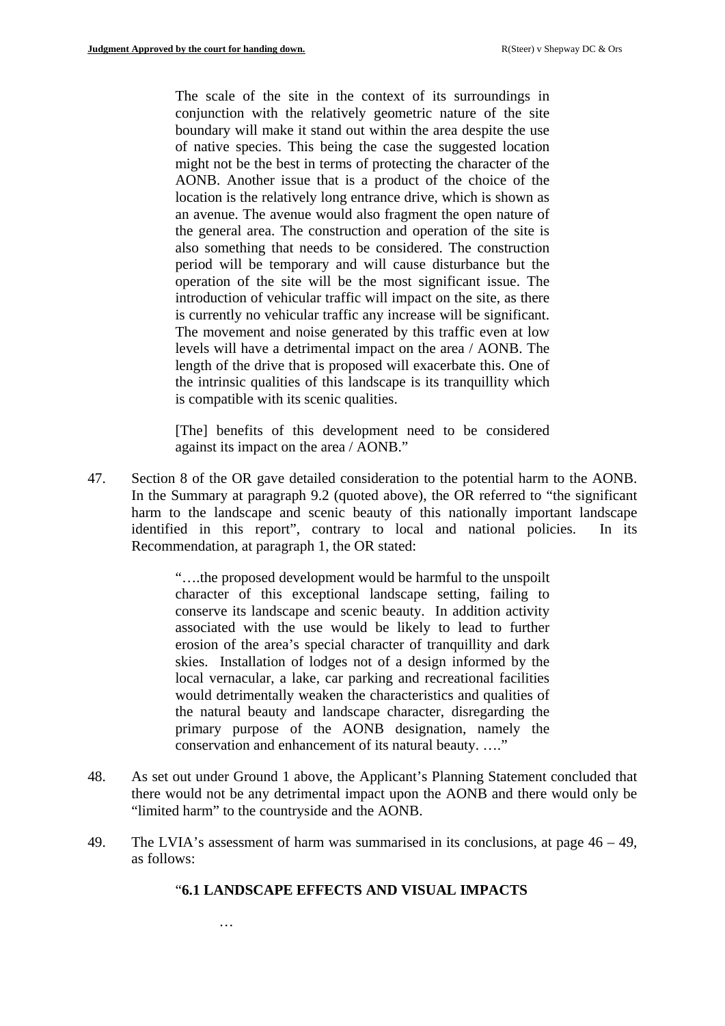The scale of the site in the context of its surroundings in conjunction with the relatively geometric nature of the site boundary will make it stand out within the area despite the use of native species. This being the case the suggested location might not be the best in terms of protecting the character of the AONB. Another issue that is a product of the choice of the location is the relatively long entrance drive, which is shown as an avenue. The avenue would also fragment the open nature of the general area. The construction and operation of the site is also something that needs to be considered. The construction period will be temporary and will cause disturbance but the operation of the site will be the most significant issue. The introduction of vehicular traffic will impact on the site, as there is currently no vehicular traffic any increase will be significant. The movement and noise generated by this traffic even at low levels will have a detrimental impact on the area / AONB. The length of the drive that is proposed will exacerbate this. One of the intrinsic qualities of this landscape is its tranquillity which is compatible with its scenic qualities.

[The] benefits of this development need to be considered against its impact on the area / AONB."

47. Section 8 of the OR gave detailed consideration to the potential harm to the AONB. In the Summary at paragraph 9.2 (quoted above), the OR referred to "the significant harm to the landscape and scenic beauty of this nationally important landscape identified in this report", contrary to local and national policies. In its Recommendation, at paragraph 1, the OR stated:

> "….the proposed development would be harmful to the unspoilt character of this exceptional landscape setting, failing to conserve its landscape and scenic beauty. In addition activity associated with the use would be likely to lead to further erosion of the area's special character of tranquillity and dark skies. Installation of lodges not of a design informed by the local vernacular, a lake, car parking and recreational facilities would detrimentally weaken the characteristics and qualities of the natural beauty and landscape character, disregarding the primary purpose of the AONB designation, namely the conservation and enhancement of its natural beauty. ...."

- 48. As set out under Ground 1 above, the Applicant's Planning Statement concluded that there would not be any detrimental impact upon the AONB and there would only be "limited harm" to the countryside and the AONB.
- 49. The LVIA's assessment of harm was summarised in its conclusions, at page 46 49, as follows:

#### "**6.1 LANDSCAPE EFFECTS AND VISUAL IMPACTS**

…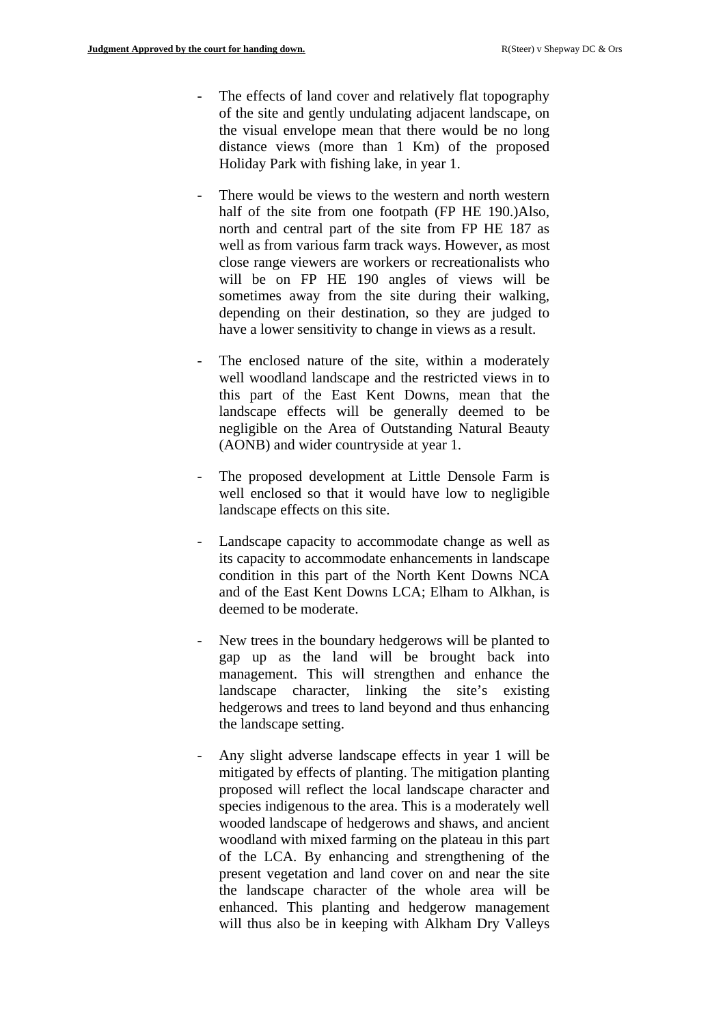- The effects of land cover and relatively flat topography of the site and gently undulating adjacent landscape, on the visual envelope mean that there would be no long distance views (more than 1 Km) of the proposed Holiday Park with fishing lake, in year 1.
- There would be views to the western and north western half of the site from one footpath (FP HE 190.)Also, north and central part of the site from FP HE 187 as well as from various farm track ways. However, as most close range viewers are workers or recreationalists who will be on FP HE 190 angles of views will be sometimes away from the site during their walking, depending on their destination, so they are judged to have a lower sensitivity to change in views as a result.
- The enclosed nature of the site, within a moderately well woodland landscape and the restricted views in to this part of the East Kent Downs, mean that the landscape effects will be generally deemed to be negligible on the Area of Outstanding Natural Beauty (AONB) and wider countryside at year 1.
- The proposed development at Little Densole Farm is well enclosed so that it would have low to negligible landscape effects on this site.
- Landscape capacity to accommodate change as well as its capacity to accommodate enhancements in landscape condition in this part of the North Kent Downs NCA and of the East Kent Downs LCA; Elham to Alkhan, is deemed to be moderate.
- New trees in the boundary hedgerows will be planted to gap up as the land will be brought back into management. This will strengthen and enhance the landscape character, linking the site's existing hedgerows and trees to land beyond and thus enhancing the landscape setting.
- Any slight adverse landscape effects in year 1 will be mitigated by effects of planting. The mitigation planting proposed will reflect the local landscape character and species indigenous to the area. This is a moderately well wooded landscape of hedgerows and shaws, and ancient woodland with mixed farming on the plateau in this part of the LCA. By enhancing and strengthening of the present vegetation and land cover on and near the site the landscape character of the whole area will be enhanced. This planting and hedgerow management will thus also be in keeping with Alkham Dry Valleys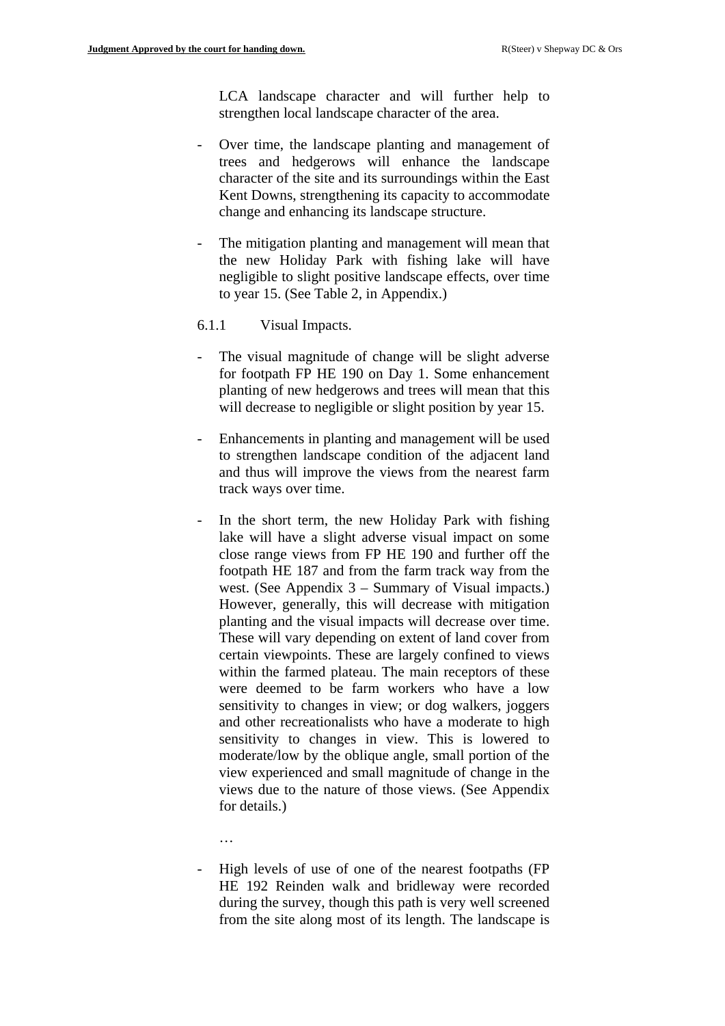LCA landscape character and will further help to strengthen local landscape character of the area.

- Over time, the landscape planting and management of trees and hedgerows will enhance the landscape character of the site and its surroundings within the East Kent Downs, strengthening its capacity to accommodate change and enhancing its landscape structure.
- The mitigation planting and management will mean that the new Holiday Park with fishing lake will have negligible to slight positive landscape effects, over time to year 15. (See Table 2, in Appendix.)
- 6.1.1 Visual Impacts.
- The visual magnitude of change will be slight adverse for footpath FP HE 190 on Day 1. Some enhancement planting of new hedgerows and trees will mean that this will decrease to negligible or slight position by year 15.
- Enhancements in planting and management will be used to strengthen landscape condition of the adjacent land and thus will improve the views from the nearest farm track ways over time.
- In the short term, the new Holiday Park with fishing lake will have a slight adverse visual impact on some close range views from FP HE 190 and further off the footpath HE 187 and from the farm track way from the west. (See Appendix 3 – Summary of Visual impacts.) However, generally, this will decrease with mitigation planting and the visual impacts will decrease over time. These will vary depending on extent of land cover from certain viewpoints. These are largely confined to views within the farmed plateau. The main receptors of these were deemed to be farm workers who have a low sensitivity to changes in view; or dog walkers, joggers and other recreationalists who have a moderate to high sensitivity to changes in view. This is lowered to moderate/low by the oblique angle, small portion of the view experienced and small magnitude of change in the views due to the nature of those views. (See Appendix for details.)
	- …
- High levels of use of one of the nearest footpaths (FP HE 192 Reinden walk and bridleway were recorded during the survey, though this path is very well screened from the site along most of its length. The landscape is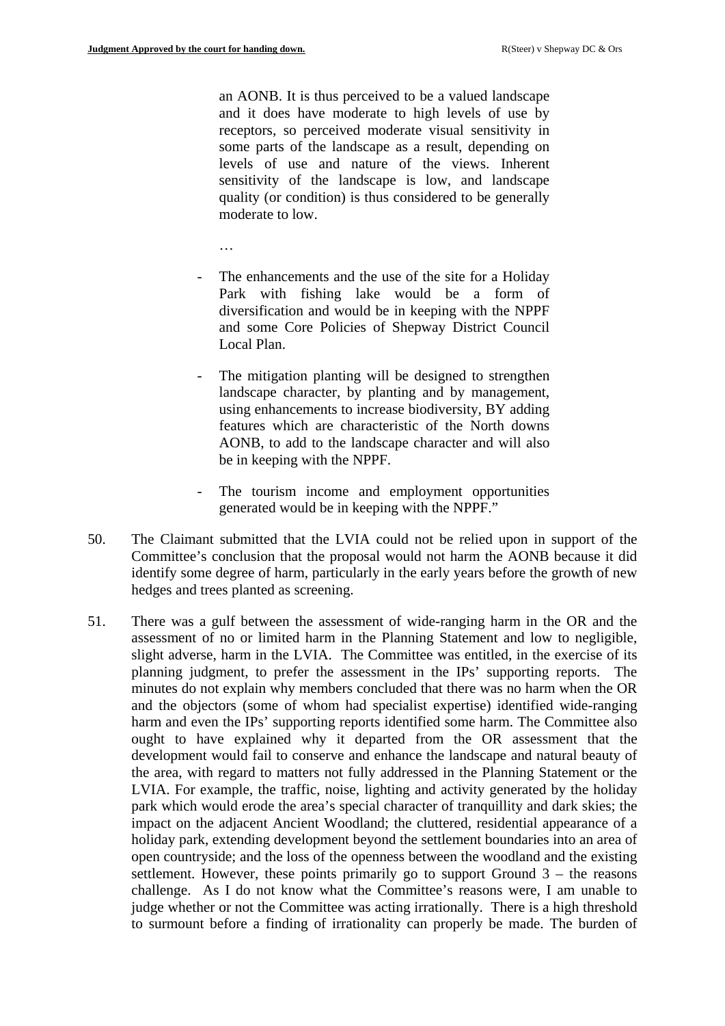an AONB. It is thus perceived to be a valued landscape and it does have moderate to high levels of use by receptors, so perceived moderate visual sensitivity in some parts of the landscape as a result, depending on levels of use and nature of the views. Inherent sensitivity of the landscape is low, and landscape quality (or condition) is thus considered to be generally moderate to low.

…

- The enhancements and the use of the site for a Holiday Park with fishing lake would be a form of diversification and would be in keeping with the NPPF and some Core Policies of Shepway District Council Local Plan.
- The mitigation planting will be designed to strengthen landscape character, by planting and by management, using enhancements to increase biodiversity, BY adding features which are characteristic of the North downs AONB, to add to the landscape character and will also be in keeping with the NPPF.
- The tourism income and employment opportunities generated would be in keeping with the NPPF."
- 50. The Claimant submitted that the LVIA could not be relied upon in support of the Committee's conclusion that the proposal would not harm the AONB because it did identify some degree of harm, particularly in the early years before the growth of new hedges and trees planted as screening.
- 51. There was a gulf between the assessment of wide-ranging harm in the OR and the assessment of no or limited harm in the Planning Statement and low to negligible, slight adverse, harm in the LVIA. The Committee was entitled, in the exercise of its planning judgment, to prefer the assessment in the IPs' supporting reports. The minutes do not explain why members concluded that there was no harm when the OR and the objectors (some of whom had specialist expertise) identified wide-ranging harm and even the IPs' supporting reports identified some harm. The Committee also ought to have explained why it departed from the OR assessment that the development would fail to conserve and enhance the landscape and natural beauty of the area, with regard to matters not fully addressed in the Planning Statement or the LVIA. For example, the traffic, noise, lighting and activity generated by the holiday park which would erode the area's special character of tranquillity and dark skies; the impact on the adjacent Ancient Woodland; the cluttered, residential appearance of a holiday park, extending development beyond the settlement boundaries into an area of open countryside; and the loss of the openness between the woodland and the existing settlement. However, these points primarily go to support Ground  $3 -$  the reasons challenge. As I do not know what the Committee's reasons were, I am unable to judge whether or not the Committee was acting irrationally. There is a high threshold to surmount before a finding of irrationality can properly be made. The burden of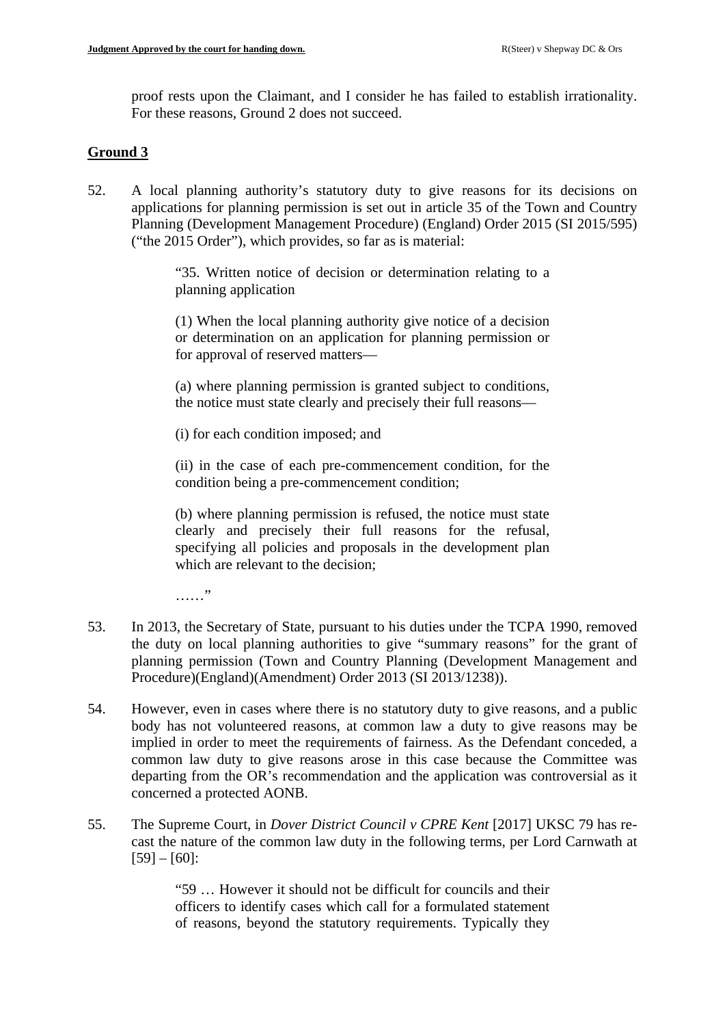proof rests upon the Claimant, and I consider he has failed to establish irrationality. For these reasons, Ground 2 does not succeed.

# **Ground 3**

52. A local planning authority's statutory duty to give reasons for its decisions on applications for planning permission is set out in article 35 of the Town and Country Planning (Development Management Procedure) (England) Order 2015 (SI 2015/595) ("the 2015 Order"), which provides, so far as is material:

> "35. Written notice of decision or determination relating to a planning application

> (1) When the local planning authority give notice of a decision or determination on an application for planning permission or for approval of reserved matters—

> (a) where planning permission is granted subject to conditions, the notice must state clearly and precisely their full reasons—

(i) for each condition imposed; and

(ii) in the case of each pre-commencement condition, for the condition being a pre-commencement condition;

(b) where planning permission is refused, the notice must state clearly and precisely their full reasons for the refusal, specifying all policies and proposals in the development plan which are relevant to the decision:

……"

- 53. In 2013, the Secretary of State, pursuant to his duties under the TCPA 1990, removed the duty on local planning authorities to give "summary reasons" for the grant of planning permission (Town and Country Planning (Development Management and Procedure)(England)(Amendment) Order 2013 (SI 2013/1238)).
- 54. However, even in cases where there is no statutory duty to give reasons, and a public body has not volunteered reasons, at common law a duty to give reasons may be implied in order to meet the requirements of fairness. As the Defendant conceded, a common law duty to give reasons arose in this case because the Committee was departing from the OR's recommendation and the application was controversial as it concerned a protected AONB.
- 55. The Supreme Court, in *Dover District Council v CPRE Kent* [2017] UKSC 79 has recast the nature of the common law duty in the following terms, per Lord Carnwath at [59] – [60]:

"59 … However it should not be difficult for councils and their officers to identify cases which call for a formulated statement of reasons, beyond the statutory requirements. Typically they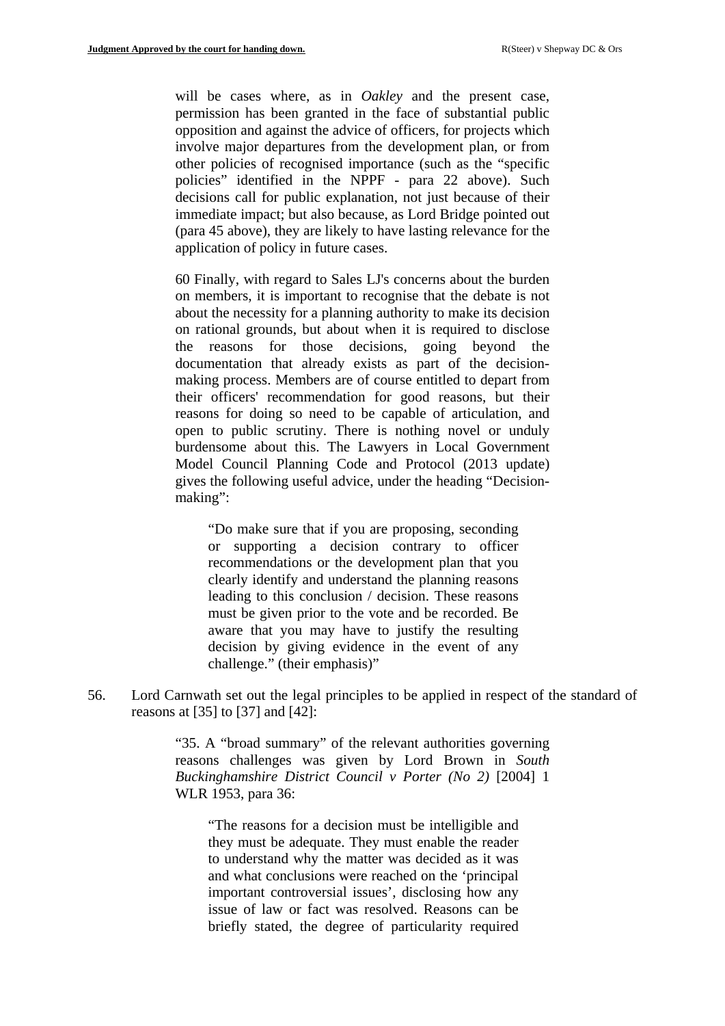will be cases where, as in *Oakley* and the present case, permission has been granted in the face of substantial public opposition and against the advice of officers, for projects which involve major departures from the development plan, or from other policies of recognised importance (such as the "specific policies" identified in the NPPF - para 22 above). Such decisions call for public explanation, not just because of their immediate impact; but also because, as Lord Bridge pointed out (para 45 above), they are likely to have lasting relevance for the application of policy in future cases.

60 Finally, with regard to Sales LJ's concerns about the burden on members, it is important to recognise that the debate is not about the necessity for a planning authority to make its decision on rational grounds, but about when it is required to disclose the reasons for those decisions, going beyond the documentation that already exists as part of the decisionmaking process. Members are of course entitled to depart from their officers' recommendation for good reasons, but their reasons for doing so need to be capable of articulation, and open to public scrutiny. There is nothing novel or unduly burdensome about this. The Lawyers in Local Government Model Council Planning Code and Protocol (2013 update) gives the following useful advice, under the heading "Decisionmaking":

"Do make sure that if you are proposing, seconding or supporting a decision contrary to officer recommendations or the development plan that you clearly identify and understand the planning reasons leading to this conclusion / decision. These reasons must be given prior to the vote and be recorded. Be aware that you may have to justify the resulting decision by giving evidence in the event of any challenge." (their emphasis)"

56. Lord Carnwath set out the legal principles to be applied in respect of the standard of reasons at [35] to [37] and [42]:

> "35. A "broad summary" of the relevant authorities governing reasons challenges was given by Lord Brown in *South Buckinghamshire District Council v Porter (No 2)* [2004] 1 WLR 1953, para 36:

"The reasons for a decision must be intelligible and they must be adequate. They must enable the reader to understand why the matter was decided as it was and what conclusions were reached on the 'principal important controversial issues', disclosing how any issue of law or fact was resolved. Reasons can be briefly stated, the degree of particularity required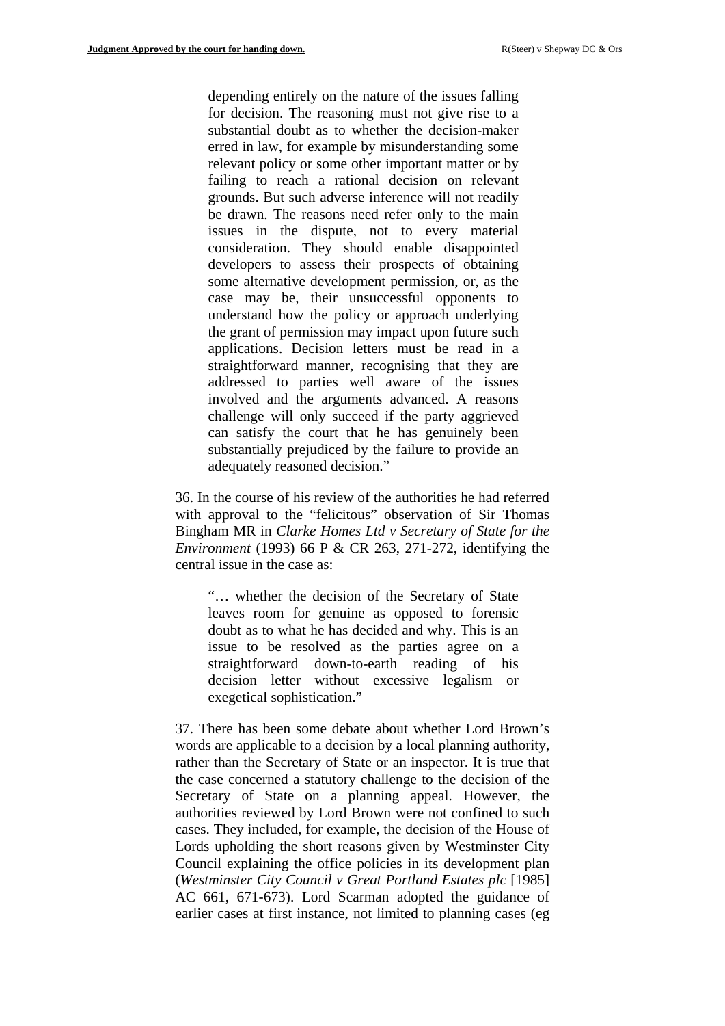depending entirely on the nature of the issues falling for decision. The reasoning must not give rise to a substantial doubt as to whether the decision-maker erred in law, for example by misunderstanding some relevant policy or some other important matter or by failing to reach a rational decision on relevant grounds. But such adverse inference will not readily be drawn. The reasons need refer only to the main issues in the dispute, not to every material consideration. They should enable disappointed developers to assess their prospects of obtaining some alternative development permission, or, as the case may be, their unsuccessful opponents to understand how the policy or approach underlying the grant of permission may impact upon future such applications. Decision letters must be read in a straightforward manner, recognising that they are addressed to parties well aware of the issues involved and the arguments advanced. A reasons challenge will only succeed if the party aggrieved can satisfy the court that he has genuinely been substantially prejudiced by the failure to provide an adequately reasoned decision."

36. In the course of his review of the authorities he had referred with approval to the "felicitous" observation of Sir Thomas Bingham MR in *Clarke Homes Ltd v Secretary of State for the Environment* (1993) 66 P & CR 263, 271-272, identifying the central issue in the case as:

"… whether the decision of the Secretary of State leaves room for genuine as opposed to forensic doubt as to what he has decided and why. This is an issue to be resolved as the parties agree on a straightforward down-to-earth reading of his decision letter without excessive legalism or exegetical sophistication."

37. There has been some debate about whether Lord Brown's words are applicable to a decision by a local planning authority, rather than the Secretary of State or an inspector. It is true that the case concerned a statutory challenge to the decision of the Secretary of State on a planning appeal. However, the authorities reviewed by Lord Brown were not confined to such cases. They included, for example, the decision of the House of Lords upholding the short reasons given by Westminster City Council explaining the office policies in its development plan (*Westminster City Council v Great Portland Estates plc* [1985] AC 661, 671-673). Lord Scarman adopted the guidance of earlier cases at first instance, not limited to planning cases (eg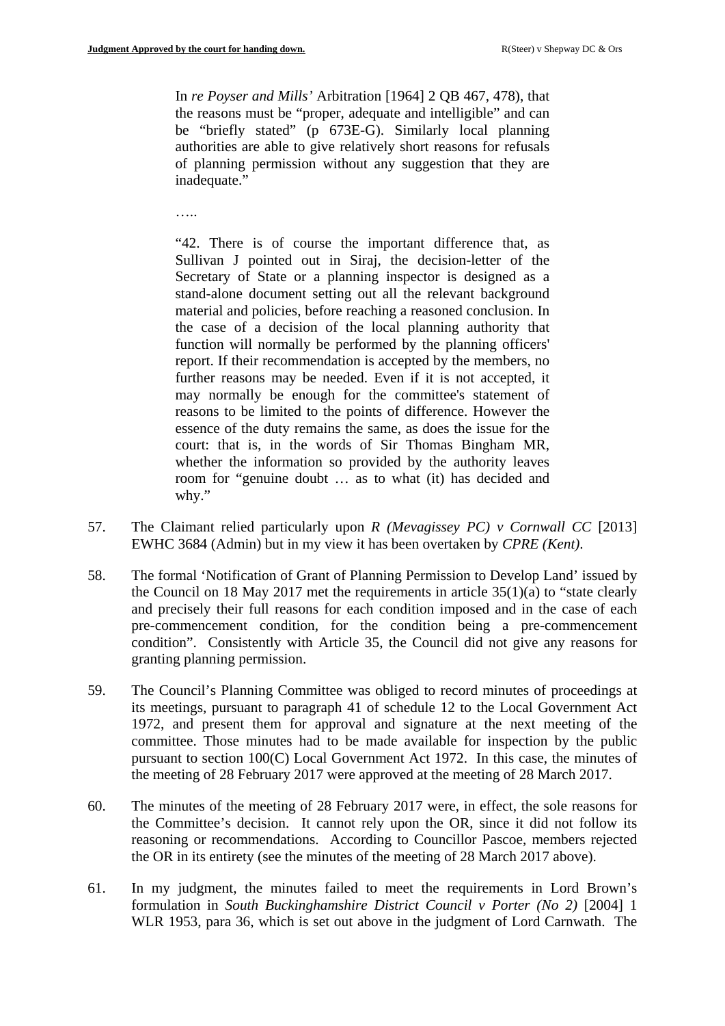In *re Poyser and Mills'* Arbitration [1964] 2 QB 467, 478), that the reasons must be "proper, adequate and intelligible" and can be "briefly stated" (p 673E-G). Similarly local planning authorities are able to give relatively short reasons for refusals of planning permission without any suggestion that they are inadequate."

……

"42. There is of course the important difference that, as Sullivan J pointed out in Siraj, the decision-letter of the Secretary of State or a planning inspector is designed as a stand-alone document setting out all the relevant background material and policies, before reaching a reasoned conclusion. In the case of a decision of the local planning authority that function will normally be performed by the planning officers' report. If their recommendation is accepted by the members, no further reasons may be needed. Even if it is not accepted, it may normally be enough for the committee's statement of reasons to be limited to the points of difference. However the essence of the duty remains the same, as does the issue for the court: that is, in the words of Sir Thomas Bingham MR, whether the information so provided by the authority leaves room for "genuine doubt … as to what (it) has decided and why."

- 57. The Claimant relied particularly upon *R (Mevagissey PC) v Cornwall CC* [2013] EWHC 3684 (Admin) but in my view it has been overtaken by *CPRE (Kent)*.
- 58. The formal 'Notification of Grant of Planning Permission to Develop Land' issued by the Council on 18 May 2017 met the requirements in article 35(1)(a) to "state clearly and precisely their full reasons for each condition imposed and in the case of each pre-commencement condition, for the condition being a pre-commencement condition". Consistently with Article 35, the Council did not give any reasons for granting planning permission.
- 59. The Council's Planning Committee was obliged to record minutes of proceedings at its meetings, pursuant to paragraph 41 of schedule 12 to the Local Government Act 1972, and present them for approval and signature at the next meeting of the committee. Those minutes had to be made available for inspection by the public pursuant to section 100(C) Local Government Act 1972. In this case, the minutes of the meeting of 28 February 2017 were approved at the meeting of 28 March 2017.
- 60. The minutes of the meeting of 28 February 2017 were, in effect, the sole reasons for the Committee's decision. It cannot rely upon the OR, since it did not follow its reasoning or recommendations. According to Councillor Pascoe, members rejected the OR in its entirety (see the minutes of the meeting of 28 March 2017 above).
- 61. In my judgment, the minutes failed to meet the requirements in Lord Brown's formulation in *South Buckinghamshire District Council v Porter (No 2)* [2004] 1 WLR 1953, para 36, which is set out above in the judgment of Lord Carnwath. The